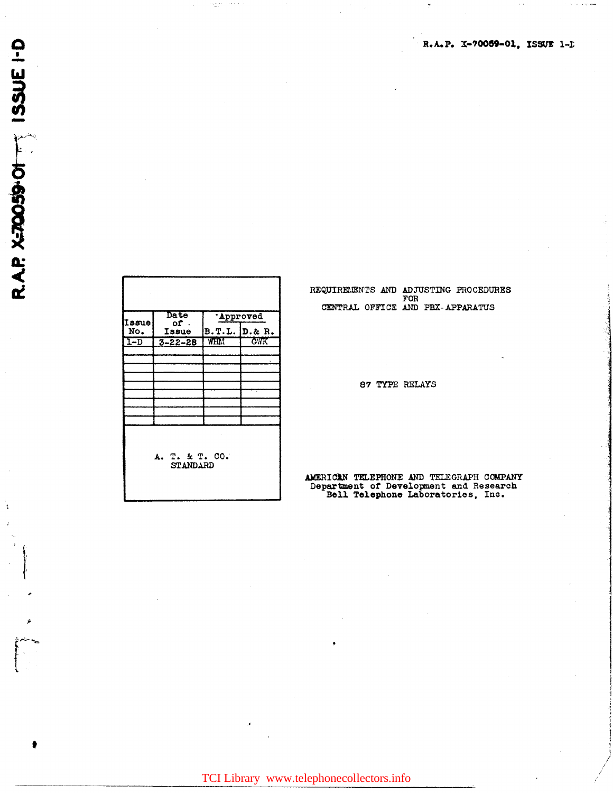| Issue<br>No.<br>$1 - D$ | <b>Date</b><br>of.<br>Issue<br>$3 - 22 - 28$ | <b>Approved</b><br>B.T.L. D. & R.<br>WHM | <b>GWK</b> |  |  |
|-------------------------|----------------------------------------------|------------------------------------------|------------|--|--|
|                         | A. T. & T. CO.<br><b>STANDARD</b>            |                                          |            |  |  |

REQUIREMENTS AND ADJUSTING PROCEDURES<br>FOR<br>CENTRAL OFFICE AND PBX-APPARATUS

87 TYPE RELAYS

AMERICAN TELEPHONE AND TELEGRAPH COMPANY Department of Development and Research Bell Telephone Laboratories, Inc.

R.A.P. X-70059-01, ISSUE 1-D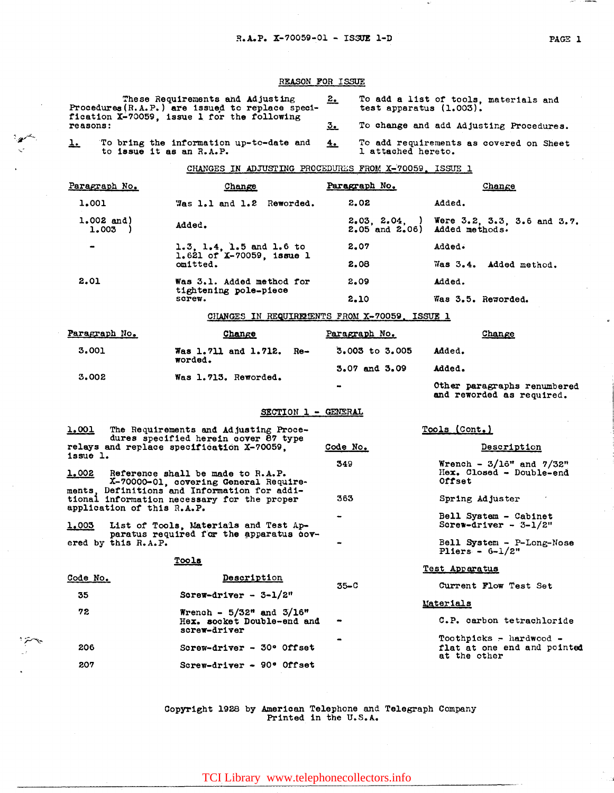## REASON FOR ISSUE

| These Requirements and Adjusting<br>Procedures (R.A.P.) are issued to replace speci-<br>fication X-70059, issue 1 for the following<br>reasons: |                                                                     | 2.<br>test apparatus $(1.003)$ . | To add a list of tools, materials and                         |
|-------------------------------------------------------------------------------------------------------------------------------------------------|---------------------------------------------------------------------|----------------------------------|---------------------------------------------------------------|
|                                                                                                                                                 |                                                                     | 3.                               | To change and add Adjusting Procedures.                       |
| <u>l.</u><br>to issue it as an R.A.P.                                                                                                           | To bring the information up-to-date and                             | 4.<br>1 attached hereto.         | To add requirements as covered on Sheet                       |
|                                                                                                                                                 | CHANGES IN ADJUSTING PROCEDURES FROM X-70059, ISSUE 1               |                                  |                                                               |
| Paragraph No.                                                                                                                                   | Change                                                              | Paragraph No.                    | <b>Change</b>                                                 |
| 1.001                                                                                                                                           | Was 1.1 and 1.2 Reworded.                                           | 2.02                             | Added.                                                        |
| $1.002$ and)<br>1.003                                                                                                                           | Added.                                                              | $2.05$ and $2.06$ )              | $2.03, 2.04,$ ) Were 3.2, 3.3, 3.6 and 3.7.<br>Added methods. |
| $\bullet$                                                                                                                                       | 1.3, 1.4, 1.5 and 1.6 to<br>$1.621$ of X-70059, issue 1<br>omitted. | 2.07                             | Added.                                                        |
|                                                                                                                                                 |                                                                     | 2.08                             | Was 3.4. Added method.                                        |
| 2.01                                                                                                                                            | Was 3.1. Added method for<br>tightening pole-piece<br>screw.        | 2.09                             | Added.                                                        |
|                                                                                                                                                 |                                                                     | 2.10                             | Was 3.5. Reworded.                                            |
|                                                                                                                                                 | CHANGES IN REQUIREMENTS FROM X-70059. ISSUE 1                       |                                  |                                                               |

| Paragraph No. | Change                          |           | Paragraph No.                                            | Change |
|---------------|---------------------------------|-----------|----------------------------------------------------------|--------|
| 3.001         | Was 1.711 and 1.712.<br>worded. | Re-       | $3.003$ to $3.005$                                       | Added. |
| 3.002         | Was 1.713. Reworded.            |           | 3.07 and 3.09                                            | Added. |
|               |                                 | $\bullet$ | Other paragraphs renumbered<br>and reworded as required. |        |

## SECTION 1 - GENERAL

| <u>1.001</u>                                                              | The Requirements and Adjusting Proce-<br>dures specified herein cover 87 type          |          | Tools (Cont.)                                                            |  |
|---------------------------------------------------------------------------|----------------------------------------------------------------------------------------|----------|--------------------------------------------------------------------------|--|
| issue 1.                                                                  | relays and replace specification X-70059.                                              | Code No. | Description                                                              |  |
| <u>1.002</u>                                                              | Reference shall be made to R.A.P.                                                      | 349      | Wrench - $3/16$ " and $7/32$ "<br>Hex. Closed - Double-end               |  |
|                                                                           | X-70000-01, covering General Require-<br>ments, Definitions and Information for addi-  | 363      | Offset<br>Spring Adjuster                                                |  |
| tional information necessary for the proper<br>application of this R.A.P. |                                                                                        |          |                                                                          |  |
|                                                                           | 1.003 List of Tools, Materials and Test Ap-<br>paratus required for the apparatus cov- |          | Bell System - Cabinet<br>Screw-driver - $3-1/2$ "                        |  |
| ered by this R.A.P.                                                       |                                                                                        |          | Bell System - P-Long-Nose<br>Pliers $-6-1/2"$                            |  |
|                                                                           | Tools                                                                                  |          | Test Apparatus                                                           |  |
| Code No.                                                                  | Description                                                                            | $35 - C$ | Current Flow Test Set                                                    |  |
| 35                                                                        | Screw-driver - $3-1/2$ "                                                               |          | Materials                                                                |  |
| 72                                                                        | Wrench - $5/32$ " and $3/16$ "<br>Hex. socket Double-end and<br>screw-driver           |          | C.P. carbon tetrachloride                                                |  |
| 206                                                                       | Screw-driver - $30^{\circ}$ Offset                                                     |          | Toothpicks - hardwood $-$<br>flat at one end and pointed<br>at the other |  |
| 207                                                                       | Screw-driver - 90° Offset                                                              |          |                                                                          |  |

Copyright 1928 by American Telephone and Telegraph Company<br>Printed in the U.S.A.

عملين

TCI Library www.telephonecollectors.info